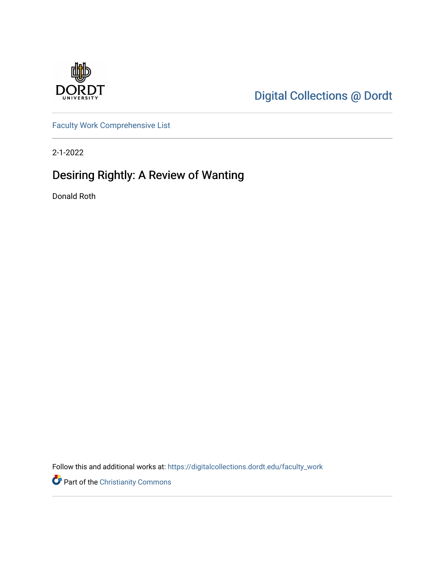

[Digital Collections @ Dordt](https://digitalcollections.dordt.edu/) 

[Faculty Work Comprehensive List](https://digitalcollections.dordt.edu/faculty_work)

2-1-2022

# Desiring Rightly: A Review of Wanting

Donald Roth

Follow this and additional works at: [https://digitalcollections.dordt.edu/faculty\\_work](https://digitalcollections.dordt.edu/faculty_work?utm_source=digitalcollections.dordt.edu%2Ffaculty_work%2F1362&utm_medium=PDF&utm_campaign=PDFCoverPages) 

Part of the [Christianity Commons](http://network.bepress.com/hgg/discipline/1181?utm_source=digitalcollections.dordt.edu%2Ffaculty_work%2F1362&utm_medium=PDF&utm_campaign=PDFCoverPages)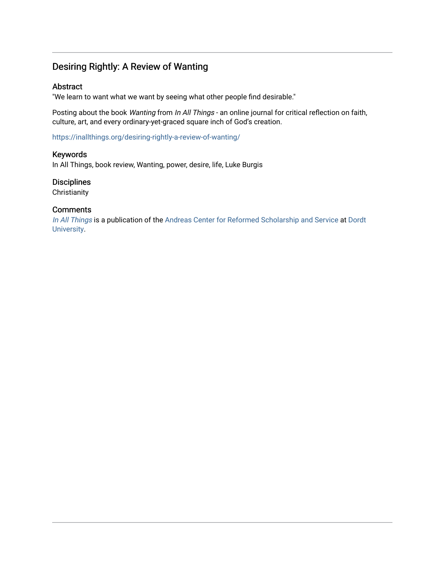# Desiring Rightly: A Review of Wanting

### Abstract

"We learn to want what we want by seeing what other people find desirable."

Posting about the book Wanting from In All Things - an online journal for critical reflection on faith, culture, art, and every ordinary-yet-graced square inch of God's creation.

<https://inallthings.org/desiring-rightly-a-review-of-wanting/>

### Keywords

In All Things, book review, Wanting, power, desire, life, Luke Burgis

# **Disciplines**

**Christianity** 

### **Comments**

[In All Things](http://inallthings.org/) is a publication of the [Andreas Center for Reformed Scholarship and Service](http://www.dordt.edu/services_support/andreas_center/) at Dordt [University](http://www.dordt.edu/).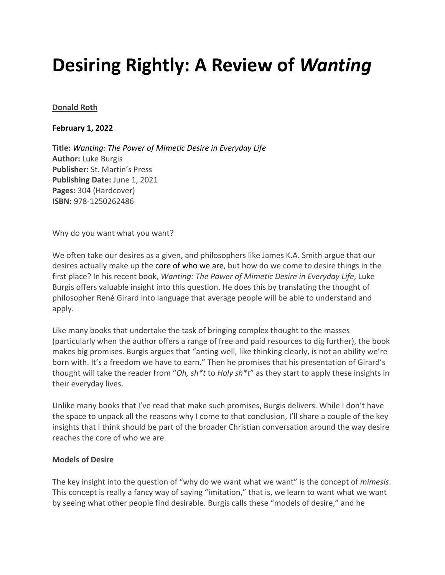# **Desiring Rightly: A Review of** *Wanting*

### **[Donald Roth](https://inallthings.org/author/donald-roth/)**

### **February 1, 2022**

**Title:** *Wanting: The Power of Mimetic Desire in Everyday Life* **Author:** Luke Burgis **Publisher:** St. Martin's Press **Publishing Date:** June 1, 2021 **Pages:** 304 (Hardcover) **ISBN:** 978-1250262486

Why do you want what you want?

We often take our desires as a given, and philosophers like James K.A. Smith argue that our desires actually make up the core of who we are, but how do we come to desire things in the first place? In his recent book, *Wanting: The Power of Mimetic Desire in Everyday Life*, Luke Burgis offers valuable insight into this question. He does this by translating the thought of philosopher René Girard into language that average people will be able to understand and apply.

Like many books that undertake the task of bringing complex thought to the masses (particularly when the author offers a range of free and paid resources to dig further), the book makes big promises. Burgis argues that "anting well, like thinking clearly, is not an ability we're born with. It's a freedom we have to earn." Then he promises that his presentation of Girard's thought will take the reader from "*Oh, sh\*t* to *Holy sh\*t*" as they start to apply these insights in their everyday lives.

Unlike many books that I've read that make such promises, Burgis delivers. While I don't have the space to unpack all the reasons why I come to that conclusion, I'll share a couple of the key insights that I think should be part of the broader Christian conversation around the way desire reaches the core of who we are.

### **Models of Desire**

The key insight into the question of "why do we want what we want" is the concept of *mimesis*. This concept is really a fancy way of saying "imitation," that is, we learn to want what we want by seeing what other people find desirable. Burgis calls these "models of desire," and he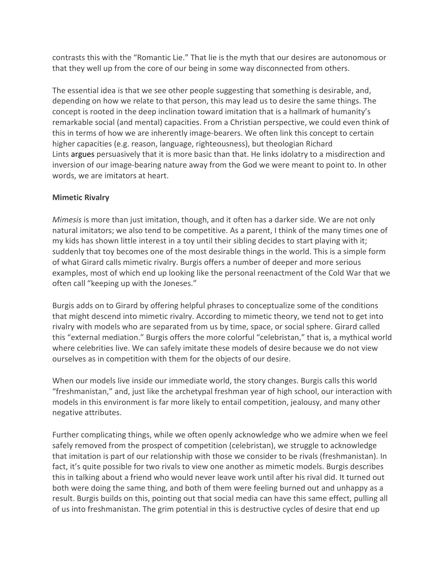contrasts this with the "Romantic Lie." That lie is the myth that our desires are autonomous or that they well up from the core of our being in some way disconnected from others.

The essential idea is that we see other people suggesting that something is desirable, and, depending on how we relate to that person, this may lead us to desire the same things. The concept is rooted in the deep inclination toward imitation that is a hallmark of humanity's remarkable social (and mental) capacities. From a Christian perspective, we could even think of this in terms of how we are inherently image-bearers. We often link this concept to certain higher capacities (e.g. reason, language, righteousness), but theologian Richard Lints argues persuasively that it is more basic than that. He links idolatry to a misdirection and inversion of our image-bearing nature away from the God we were meant to point to. In other words, we are imitators at heart.

# **Mimetic Rivalry**

*Mimesis* is more than just imitation, though, and it often has a darker side. We are not only natural imitators; we also tend to be competitive. As a parent, I think of the many times one of my kids has shown little interest in a toy until their sibling decides to start playing with it; suddenly that toy becomes one of the most desirable things in the world. This is a simple form of what Girard calls mimetic rivalry. Burgis offers a number of deeper and more serious examples, most of which end up looking like the personal reenactment of the Cold War that we often call "keeping up with the Joneses."

Burgis adds on to Girard by offering helpful phrases to conceptualize some of the conditions that might descend into mimetic rivalry. According to mimetic theory, we tend not to get into rivalry with models who are separated from us by time, space, or social sphere. Girard called this "external mediation." Burgis offers the more colorful "celebristan," that is, a mythical world where celebrities live. We can safely imitate these models of desire because we do not view ourselves as in competition with them for the objects of our desire.

When our models live inside our immediate world, the story changes. Burgis calls this world "freshmanistan," and, just like the archetypal freshman year of high school, our interaction with models in this environment is far more likely to entail competition, jealousy, and many other negative attributes.

Further complicating things, while we often openly acknowledge who we admire when we feel safely removed from the prospect of competition (celebristan), we struggle to acknowledge that imitation is part of our relationship with those we consider to be rivals (freshmanistan). In fact, it's quite possible for two rivals to view one another as mimetic models. Burgis describes this in talking about a friend who would never leave work until after his rival did. It turned out both were doing the same thing, and both of them were feeling burned out and unhappy as a result. Burgis builds on this, pointing out that social media can have this same effect, pulling all of us into freshmanistan. The grim potential in this is destructive cycles of desire that end up